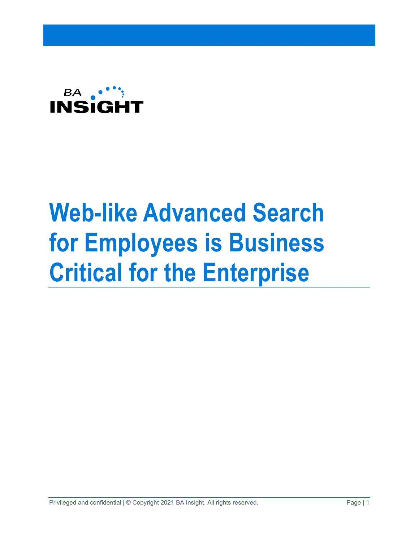

# **Web-like Advanced Search for Employees is Business Critical for the Enterprise**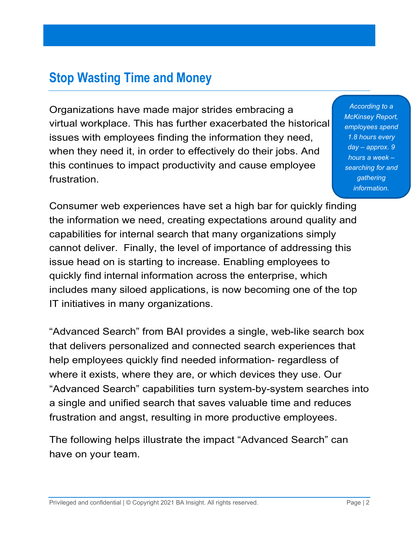### **Stop Wasting Time and Money**

Organizations have made major strides embracing a virtual workplace. This has further exacerbated the historical issues with employees finding the information they need, when they need it, in order to effectively do their jobs. And this continues to impact productivity and cause employee frustration.

*According to a McKinsey Report, employees spend 1.8 hours every day – approx. 9 hours a week – searching for and gathering information.*

Consumer web experiences have set a high bar for quickly finding the information we need, creating expectations around quality and capabilities for internal search that many organizations simply cannot deliver. Finally, the level of importance of addressing this issue head on is starting to increase. Enabling employees to quickly find internal information across the enterprise, which includes many siloed applications, is now becoming one of the top IT initiatives in many organizations.

"Advanced Search" from BAI provides a single, web-like search box that delivers personalized and connected search experiences that help employees quickly find needed information- regardless of where it exists, where they are, or which devices they use. Our "Advanced Search" capabilities turn system-by-system searches into a single and unified search that saves valuable time and reduces frustration and angst, resulting in more productive employees.

The following helps illustrate the impact "Advanced Search" can have on your team.

Privileged and confidential  $| \circledcirc$  Copyright 2021 BA Insight. All rights reserved. Page | 2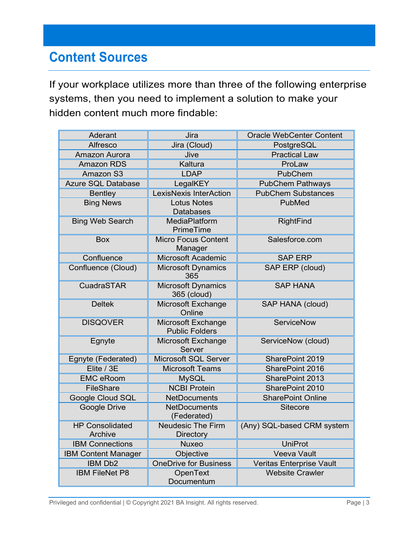## **Content Sources**

If your workplace utilizes more than three of the following enterprise systems, then you need to implement a solution to make your hidden content much more findable:

| Aderant                           | Jira                                         | <b>Oracle WebCenter Content</b> |
|-----------------------------------|----------------------------------------------|---------------------------------|
| Alfresco                          | Jira (Cloud)                                 | PostgreSQL                      |
| Amazon Aurora                     | Jive                                         | <b>Practical Law</b>            |
| <b>Amazon RDS</b>                 | Kaltura                                      | ProLaw                          |
| Amazon S3                         | <b>LDAP</b>                                  | PubChem                         |
| <b>Azure SQL Database</b>         | LegalKEY                                     | <b>PubChem Pathways</b>         |
| <b>Bentley</b>                    | <b>LexisNexis InterAction</b>                | <b>PubChem Substances</b>       |
| <b>Bing News</b>                  | <b>Lotus Notes</b><br><b>Databases</b>       | PubMed                          |
| <b>Bing Web Search</b>            | MediaPlatform<br>PrimeTime                   | RightFind                       |
| Box                               | <b>Micro Focus Content</b><br>Manager        | Salesforce.com                  |
| Confluence                        | Microsoft Academic                           | <b>SAP ERP</b>                  |
| Confluence (Cloud)                | <b>Microsoft Dynamics</b><br>365             | SAP ERP (cloud)                 |
| CuadraSTAR                        | <b>Microsoft Dynamics</b><br>365 (cloud)     | <b>SAP HANA</b>                 |
| <b>Deltek</b>                     | Microsoft Exchange<br>Online                 | SAP HANA (cloud)                |
| <b>DISQOVER</b>                   | Microsoft Exchange<br><b>Public Folders</b>  | <b>ServiceNow</b>               |
| Egnyte                            | Microsoft Exchange<br>Server                 | ServiceNow (cloud)              |
| Egnyte (Federated)                | Microsoft SQL Server                         | SharePoint 2019                 |
| Elite / 3E                        | <b>Microsoft Teams</b>                       | SharePoint 2016                 |
| <b>EMC eRoom</b>                  | <b>MySQL</b>                                 | SharePoint 2013                 |
| <b>FileShare</b>                  | <b>NCBI Protein</b>                          | SharePoint 2010                 |
| Google Cloud SQL                  | <b>NetDocuments</b>                          | <b>SharePoint Online</b>        |
| Google Drive                      | <b>NetDocuments</b><br>(Federated)           | <b>Sitecore</b>                 |
| <b>HP Consolidated</b><br>Archive | <b>Neudesic The Firm</b><br><b>Directory</b> | (Any) SQL-based CRM system      |
| <b>IBM Connections</b>            | <b>Nuxeo</b>                                 | <b>UniProt</b>                  |
| <b>IBM Content Manager</b>        | Objective                                    | Veeva Vault                     |
| IBM Db2                           | <b>OneDrive for Business</b>                 | Veritas Enterprise Vault        |
| <b>IBM FileNet P8</b>             | OpenText<br>Documentum                       | <b>Website Crawler</b>          |

Privileged and confidential | © Copyright 2021 BA Insight. All rights reserved. Page | 3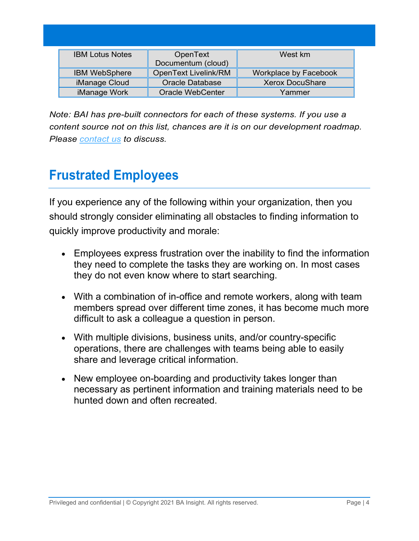| <b>IBM Lotus Notes</b> | OpenText<br>Documentum (cloud) | West km                      |
|------------------------|--------------------------------|------------------------------|
| <b>IBM WebSphere</b>   | OpenText Livelink/RM           | <b>Workplace by Facebook</b> |
| iManage Cloud          | <b>Oracle Database</b>         | <b>Xerox DocuShare</b>       |
| iManage Work           | <b>Oracle WebCenter</b>        | Yammer                       |

*Note: BAI has pre-built connectors for each of these systems. If you use a content source not on this list, chances are it is on our development roadmap. Please [contact us](https://www.bainsight.com/company-overview/contact-bainsight-enterprise-search/) to discuss.*

## **Frustrated Employees**

If you experience any of the following within your organization, then you should strongly consider eliminating all obstacles to finding information to quickly improve productivity and morale:

- Employees express frustration over the inability to find the information they need to complete the tasks they are working on. In most cases they do not even know where to start searching.
- With a combination of in-office and remote workers, along with team members spread over different time zones, it has become much more difficult to ask a colleague a question in person.
- With multiple divisions, business units, and/or country-specific operations, there are challenges with teams being able to easily share and leverage critical information.
- New employee on-boarding and productivity takes longer than necessary as pertinent information and training materials need to be hunted down and often recreated.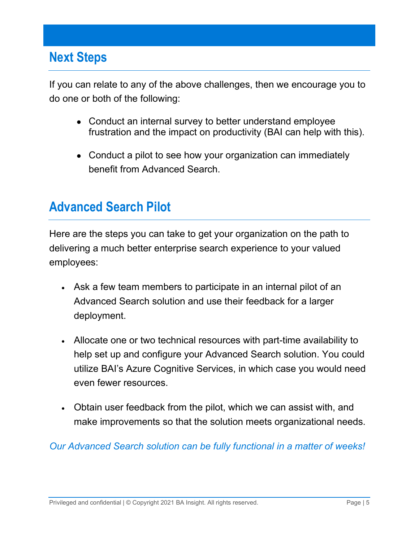#### **Next Steps**

If you can relate to any of the above challenges, then we encourage you to do one or both of the following:

- Conduct an internal survey to better understand employee frustration and the impact on productivity (BAI can help with this).
- Conduct a pilot to see how your organization can immediately benefit from Advanced Search.

#### **Advanced Search Pilot**

Here are the steps you can take to get your organization on the path to delivering a much better enterprise search experience to your valued employees:

- Ask a few team members to participate in an internal pilot of an Advanced Search solution and use their feedback for a larger deployment.
- Allocate one or two technical resources with part-time availability to help set up and configure your Advanced Search solution. You could utilize BAI's Azure Cognitive Services, in which case you would need even fewer resources.
- Obtain user feedback from the pilot, which we can assist with, and make improvements so that the solution meets organizational needs.

*Our Advanced Search solution can be fully functional in a matter of weeks!*